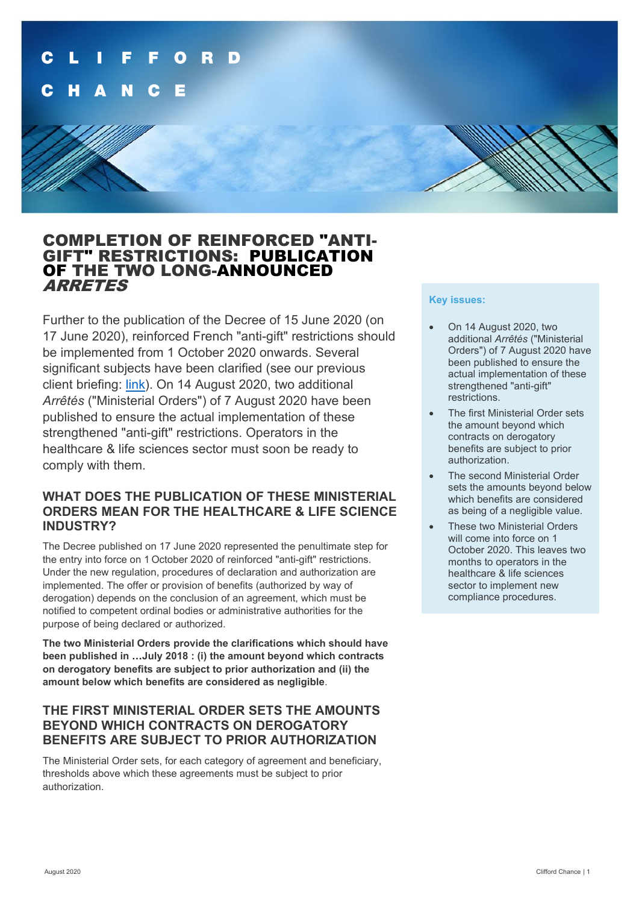

# COMPLETION OF REINFORCED "ANTI- GIFT" RESTRICTIONS: PUBLICATION OF THE TWO LONG-ANNOUNCED ARRETES

Further to the publication of the Decree of 15 June 2020 (on 17 June 2020), reinforced French "anti-gift" restrictions should be implemented from 1 October 2020 onwards. Several significant subjects have been clarified (see our previous client briefing: [link\)](https://www.cliffordchance.com/briefings/2020/06/the-entry-into-force-of-reinforced-anti-gift-restrictions.html). On 14 August 2020, two additional *Arrêtés* ("Ministerial Orders") of 7 August 2020 have been published to ensure the actual implementation of these strengthened "anti-gift" restrictions. Operators in the healthcare & life sciences sector must soon be ready to comply with them.

## **WHAT DOES THE PUBLICATION OF THESE MINISTERIAL ORDERS MEAN FOR THE HEALTHCARE & LIFE SCIENCE INDUSTRY?**

The Decree published on 17 June 2020 represented the penultimate step for the entry into force on 1 October 2020 of reinforced "anti-gift" restrictions. Under the new regulation, procedures of declaration and authorization are implemented. The offer or provision of benefits (authorized by way of derogation) depends on the conclusion of an agreement, which must be notified to competent ordinal bodies or administrative authorities for the purpose of being declared or authorized.

**The two Ministerial Orders provide the clarifications which should have been published in …July 2018 : (i) the amount beyond which contracts on derogatory benefits are subject to prior authorization and (ii) the amount below which benefits are considered as negligible**.

### **THE FIRST MINISTERIAL ORDER SETS THE AMOUNTS BEYOND WHICH CONTRACTS ON DEROGATORY BENEFITS ARE SUBJECT TO PRIOR AUTHORIZATION**

The Ministerial Order sets, for each category of agreement and beneficiary, thresholds above which these agreements must be subject to prior authorization.

### **Key issues:**

- On 14 August 2020, two additional *Arrêtés* ("Ministerial Orders") of 7 August 2020 have been published to ensure the actual implementation of these strengthened "anti-gift" restrictions.
- The first Ministerial Order sets the amount beyond which contracts on derogatory benefits are subject to prior authorization.
- The second Ministerial Order sets the amounts beyond below which benefits are considered as being of a negligible value.
- These two Ministerial Orders will come into force on 1 October 2020. This leaves two months to operators in the healthcare & life sciences sector to implement new compliance procedures.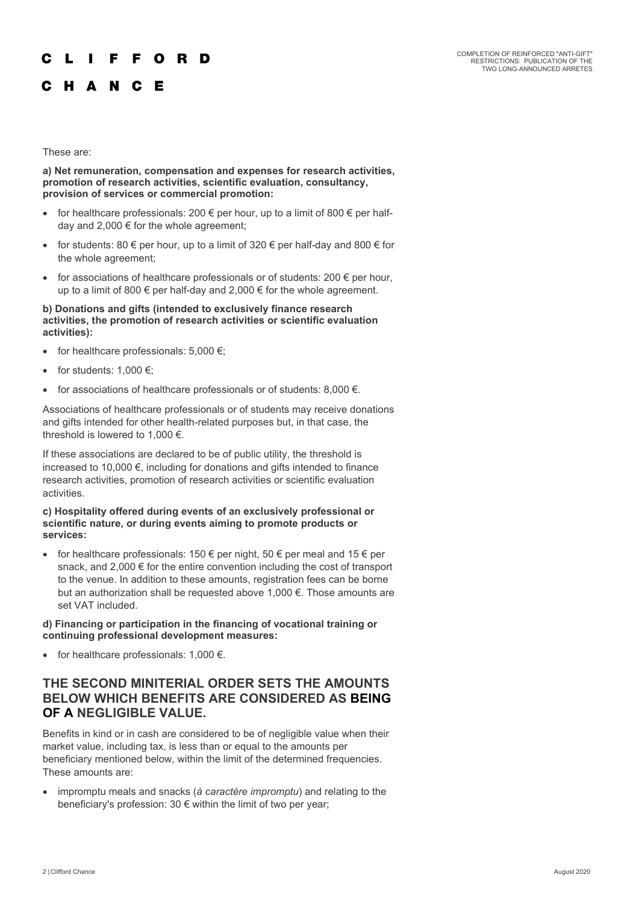#### F F O R D

## C H A N C E

#### These are:

### **a) Net remuneration, compensation and expenses for research activities, promotion of research activities, scientific evaluation, consultancy, provision of services or commercial promotion:**

- for healthcare professionals: 200  $\epsilon$  per hour, up to a limit of 800  $\epsilon$  per halfday and 2,000 € for the whole agreement;
- for students: 80  $\epsilon$  per hour, up to a limit of 320  $\epsilon$  per half-day and 800  $\epsilon$  for the whole agreement;
- for associations of healthcare professionals or of students:  $200 \in$  per hour, up to a limit of 800  $\epsilon$  per half-day and 2,000  $\epsilon$  for the whole agreement.

#### **b) Donations and gifts (intended to exclusively finance research activities, the promotion of research activities or scientific evaluation activities):**

- for healthcare professionals:  $5,000 \in$ ;
- for students:  $1,000 \in$ ;
- for associations of healthcare professionals or of students:  $8,000 \in .$

Associations of healthcare professionals or of students may receive donations and gifts intended for other health-related purposes but, in that case, the threshold is lowered to 1,000 €.

If these associations are declared to be of public utility, the threshold is increased to 10,000 €, including for donations and gifts intended to finance research activities, promotion of research activities or scientific evaluation activities.

#### **c) Hospitality offered during events of an exclusively professional or scientific nature, or during events aiming to promote products or services:**

for healthcare professionals: 150  $\epsilon$  per night, 50  $\epsilon$  per meal and 15  $\epsilon$  per snack, and 2,000 € for the entire convention including the cost of transport to the venue. In addition to these amounts, registration fees can be borne but an authorization shall be requested above 1,000 €. Those amounts are set VAT included.

#### **d) Financing or participation in the financing of vocational training or continuing professional development measures:**

• for healthcare professionals:  $1.000 \in$ .

### **THE SECOND MINITERIAL ORDER SETS THE AMOUNTS BELOW WHICH BENEFITS ARE CONSIDERED AS BEING OF A NEGLIGIBLE VALUE.**

Benefits in kind or in cash are considered to be of negligible value when their market value, including tax, is less than or equal to the amounts per beneficiary mentioned below, within the limit of the determined frequencies. These amounts are:

• impromptu meals and snacks (*à caractère impromptu*) and relating to the beneficiary's profession: 30 € within the limit of two per year;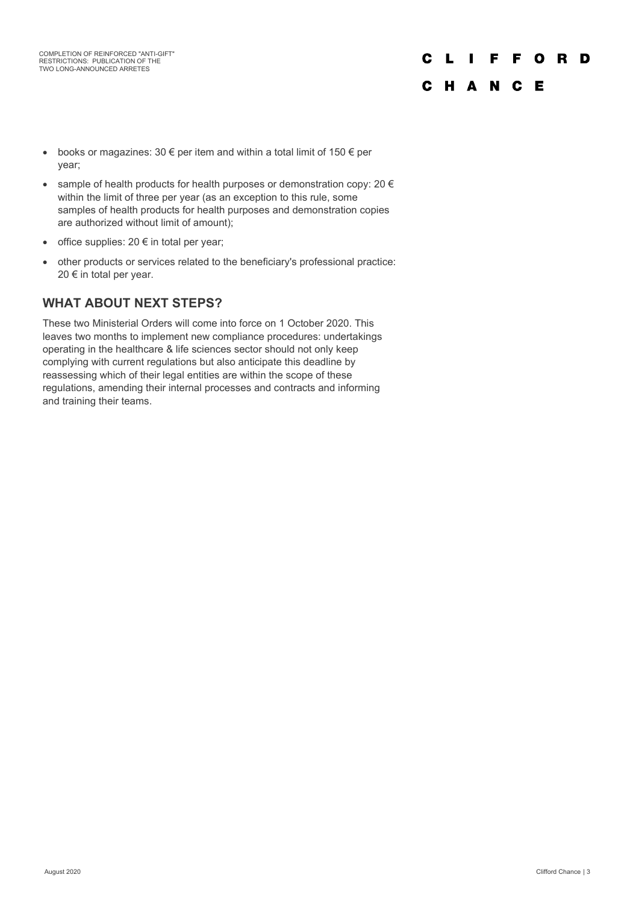### **FFORD** C L I C H A N C E

- books or magazines: 30  $\epsilon$  per item and within a total limit of 150  $\epsilon$  per year;
- sample of health products for health purposes or demonstration copy: 20  $\epsilon$ within the limit of three per year (as an exception to this rule, some samples of health products for health purposes and demonstration copies are authorized without limit of amount);
- office supplies:  $20 \notin$  in total per year;
- other products or services related to the beneficiary's professional practice: 20 € in total per year.

## **WHAT ABOUT NEXT STEPS?**

These two Ministerial Orders will come into force on 1 October 2020. This leaves two months to implement new compliance procedures: undertakings operating in the healthcare & life sciences sector should not only keep complying with current regulations but also anticipate this deadline by reassessing which of their legal entities are within the scope of these regulations, amending their internal processes and contracts and informing and training their teams.